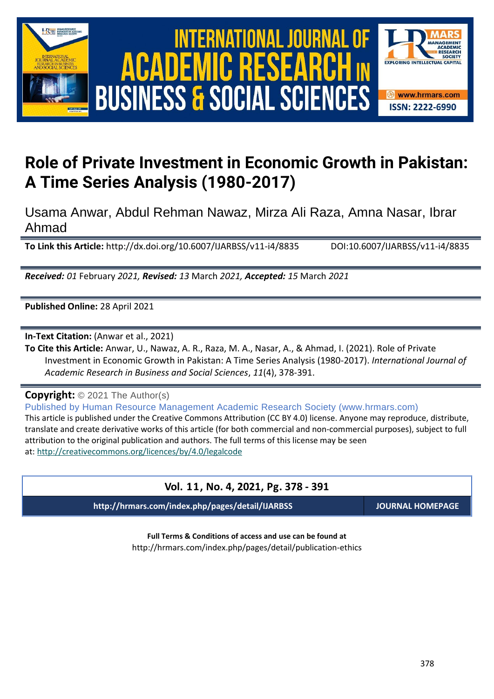



# **Role of Private Investment in Economic Growth in Pakistan: A Time Series Analysis (1980-2017)**

Usama Anwar, Abdul Rehman Nawaz, Mirza Ali Raza, Amna Nasar, Ibrar Ahmad

**To Link this Article:** http://dx.doi.org/10.6007/IJARBSS/v11-i4/8835 DOI:10.6007/IJARBSS/v11-i4/8835

*Received: 01* February *2021, Revised: 13* March *2021, Accepted: 15* March *2021*

**Published Online:** 28 April 2021

**In-Text Citation:** (Anwar et al., 2021)

**To Cite this Article:** Anwar, U., Nawaz, A. R., Raza, M. A., Nasar, A., & Ahmad, I. (2021). Role of Private Investment in Economic Growth in Pakistan: A Time Series Analysis (1980-2017). *International Journal of Academic Research in Business and Social Sciences*, *11*(4), 378-391.

**Copyright:** © 2021 The Author(s)

Published by Human Resource Management Academic Research Society (www.hrmars.com) This article is published under the Creative Commons Attribution (CC BY 4.0) license. Anyone may reproduce, distribute, translate and create derivative works of this article (for both commercial and non-commercial purposes), subject to full attribution to the original publication and authors. The full terms of this license may be seen at: <http://creativecommons.org/licences/by/4.0/legalcode>

### **Vol. 11, No. 4, 2021, Pg. 378 - 391**

**http://hrmars.com/index.php/pages/detail/IJARBSS JOURNAL HOMEPAGE**

**Full Terms & Conditions of access and use can be found at** http://hrmars.com/index.php/pages/detail/publication-ethics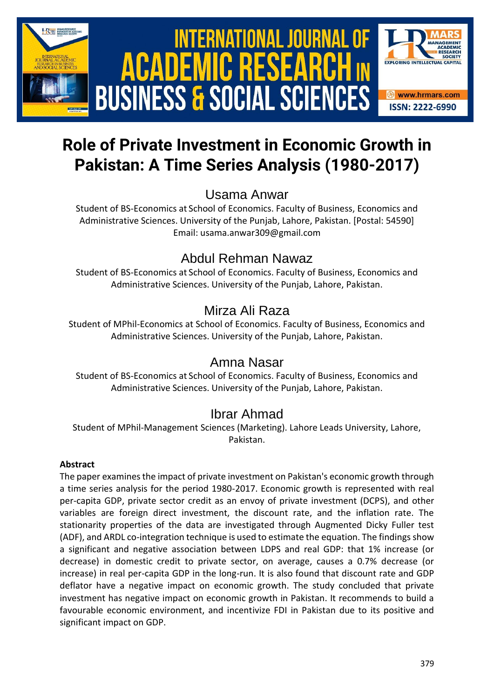

# International Journal of Academic Research in Business and Social Sciences **Vol. 1 1 , No. 4, 2021, E-ISSN: 2222-6990 © 2021 HRMARS ACADEMIC BUSINESS & SOCIAL SCIENCES**



# Usama Anwar

Student of BS-Economics at School of Economics. Faculty of Business, Economics and Administrative Sciences. University of the Punjab, Lahore, Pakistan. [Postal: 54590] Email: usama.anwar309@gmail.com

# Abdul Rehman Nawaz

Student of BS-Economics at School of Economics. Faculty of Business, Economics and Administrative Sciences. University of the Punjab, Lahore, Pakistan.

# Mirza Ali Raza

Student of MPhil-Economics at School of Economics. Faculty of Business, Economics and Administrative Sciences. University of the Punjab, Lahore, Pakistan.

## Amna Nasar

Student of BS-Economics at School of Economics. Faculty of Business, Economics and Administrative Sciences. University of the Punjab, Lahore, Pakistan.

## Ibrar Ahmad

Student of MPhil-Management Sciences (Marketing). Lahore Leads University, Lahore, Pakistan.

#### **Abstract**

The paper examines the impact of private investment on Pakistan's economic growth through a time series analysis for the period 1980-2017. Economic growth is represented with real per-capita GDP, private sector credit as an envoy of private investment (DCPS), and other variables are foreign direct investment, the discount rate, and the inflation rate. The stationarity properties of the data are investigated through Augmented Dicky Fuller test (ADF), and ARDL co-integration technique is used to estimate the equation. The findings show a significant and negative association between LDPS and real GDP: that 1% increase (or decrease) in domestic credit to private sector, on average, causes a 0.7% decrease (or increase) in real per-capita GDP in the long-run. It is also found that discount rate and GDP deflator have a negative impact on economic growth. The study concluded that private investment has negative impact on economic growth in Pakistan. It recommends to build a favourable economic environment, and incentivize FDI in Pakistan due to its positive and significant impact on GDP.

**EXPLORING INTELLECTUAL C** 

**<sup>❸</sup>** www.hrmars.com **ISSN: 2222-6990**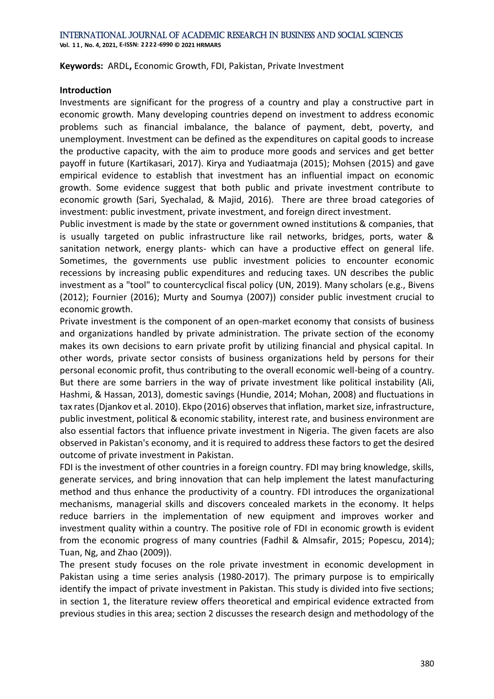**Keywords:** ARDL**,** Economic Growth, FDI, Pakistan, Private Investment

#### **Introduction**

Investments are significant for the progress of a country and play a constructive part in economic growth. Many developing countries depend on investment to address economic problems such as financial imbalance, the balance of payment, debt, poverty, and unemployment. Investment can be defined as the expenditures on capital goods to increase the productive capacity, with the aim to produce more goods and services and get better payoff in future [\(Kartikasari, 2017\)](#page-12-0). [Kirya and Yudiaatmaja \(2015\);](#page-12-1) [Mohsen \(2015\)](#page-12-2) and gave empirical evidence to establish that investment has an influential impact on economic growth. Some evidence suggest that both public and private investment contribute to economic growth [\(Sari, Syechalad, & Majid, 2016\)](#page-12-3). There are three broad categories of investment: public investment, private investment, and foreign direct investment.

Public investment is made by the state or government owned institutions & companies, that is usually targeted on public infrastructure like rail networks, bridges, ports, water & sanitation network, energy plants- which can have a productive effect on general life. Sometimes, the governments use public investment policies to encounter economic recessions by increasing public expenditures and reducing taxes. UN describes the public investment as a "tool" to countercyclical fiscal policy [\(UN, 2019\)](#page-13-0). Many scholars (e.g., [Bivens](#page-11-0)  [\(2012\);](#page-11-0) [Fournier \(2016\);](#page-12-4) [Murty and Soumya \(2007\)\)](#page-12-5) consider public investment crucial to economic growth.

Private investment is the component of an open-market economy that consists of business and organizations handled by private administration. The private section of the economy makes its own decisions to earn private profit by utilizing financial and physical capital. In other words, private sector consists of business organizations held by persons for their personal economic profit, thus contributing to the overall economic well-being of a country. But there are some barriers in the way of private investment like political instability [\(Ali,](#page-11-1)  [Hashmi, & Hassan, 2013\)](#page-11-1), domestic savings [\(Hundie, 2014;](#page-12-6) [Mohan, 2008\)](#page-12-7) and fluctuations in tax rates [\(Djankov et al. 2010\)](#page-11-2)[. Ekpo \(2016\)](#page-11-3) observes that inflation, market size, infrastructure, public investment, political & economic stability, interest rate, and business environment are also essential factors that influence private investment in Nigeria. The given facets are also observed in Pakistan's economy, and it is required to address these factors to get the desired outcome of private investment in Pakistan.

FDI is the investment of other countries in a foreign country. FDI may bring knowledge, skills, generate services, and bring innovation that can help implement the latest manufacturing method and thus enhance the productivity of a country. FDI introduces the organizational mechanisms, managerial skills and discovers concealed markets in the economy. It helps reduce barriers in the implementation of new equipment and improves worker and investment quality within a country. The positive role of FDI in economic growth is evident from the economic progress of many countries [\(Fadhil & Almsafir, 2015;](#page-12-8) [Popescu, 2014\)](#page-12-9); [Tuan, Ng, and Zhao \(2009\)\)](#page-13-1).

The present study focuses on the role private investment in economic development in Pakistan using a time series analysis (1980-2017). The primary purpose is to empirically identify the impact of private investment in Pakistan. This study is divided into five sections; in section 1, the literature review offers theoretical and empirical evidence extracted from previous studies in this area; section 2 discusses the research design and methodology of the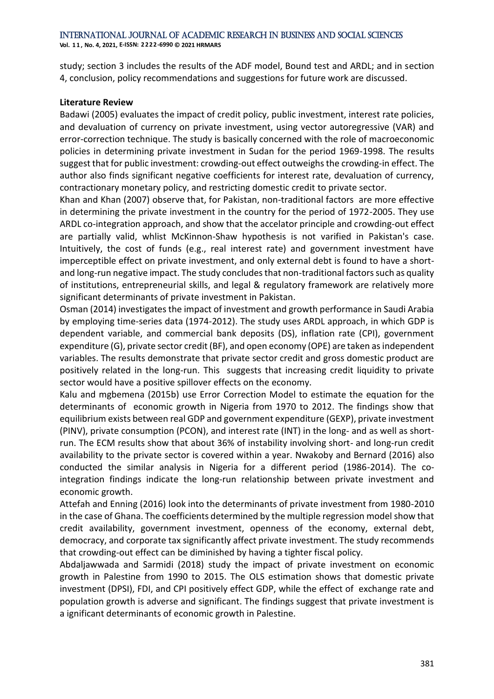**Vol. 1 1 , No. 4, 2021, E-ISSN: 2222-6990 © 2021 HRMARS**

study; section 3 includes the results of the ADF model, Bound test and ARDL; and in section 4, conclusion, policy recommendations and suggestions for future work are discussed.

#### **Literature Review**

[Badawi \(2005\)](#page-11-4) evaluates the impact of credit policy, public investment, interest rate policies, and devaluation of currency on private investment, using vector autoregressive (VAR) and error-correction technique. The study is basically concerned with the role of macroeconomic policies in determining private investment in Sudan for the period 1969-1998. The results suggest that for public investment: crowding-out effect outweighs the crowding-in effect. The author also finds significant negative coefficients for interest rate, devaluation of currency, contractionary monetary policy, and restricting domestic credit to private sector.

Khan [and Khan \(2007\)](#page-12-10) observe that, for Pakistan, non-traditional factors are more effective in determining the private investment in the country for the period of 1972-2005. They use ARDL co-integration approach, and show that the accelator principle and crowding-out effect are partially valid, whlist McKinnon-Shaw hypothesis is not varified in Pakistan's case. Intuitively, the cost of funds (e.g., real interest rate) and government investment have imperceptible effect on private investment, and only external debt is found to have a shortand long-run negative impact. The study concludes that non-traditional factors such as quality of institutions, entrepreneurial skills, and legal & regulatory framework are relatively more significant determinants of private investment in Pakistan.

[Osman \(2014\)](#page-12-11) investigates the impact of investment and growth performance in Saudi Arabia by employing time-series data (1974-2012). The study uses ARDL approach, in which GDP is dependent variable, and commercial bank deposits (DS), inflation rate (CPI), government expenditure (G), private sector credit (BF), and open economy (OPE) are taken as independent variables. The results demonstrate that private sector credit and gross domestic product are positively related in the long-run. This suggests that increasing credit liquidity to private sector would have a positive spillover effects on the economy.

[Kalu and mgbemena \(2015b\)](#page-12-12) use Error Correction Model to estimate the equation for the determinants of economic growth in Nigeria from 1970 to 2012. The findings show that equilibrium exists between real GDP and government expenditure (GEXP), private investment (PINV), private consumption (PCON), and interest rate (INT) in the long- and as well as shortrun. The ECM results show that about 36% of instability involving short- and long-run credit availability to the private sector is covered within a year. [Nwakoby and Bernard \(2016\)](#page-12-13) also conducted the similar analysis in Nigeria for a different period (1986-2014). The cointegration findings indicate the long-run relationship between private investment and economic growth.

[Attefah and Enning \(2016\)](#page-11-5) look into the determinants of private investment from 1980-2010 in the case of Ghana. The coefficients determined by the multiple regression model show that credit availability, government investment, openness of the economy, external debt, democracy, and corporate tax significantly affect private investment. The study recommends that crowding-out effect can be diminished by having a tighter fiscal policy.

[Abdaljawwada and Sarmidi \(2018\)](#page-11-6) study the impact of private investment on economic growth in Palestine from 1990 to 2015. The OLS estimation shows that domestic private investment (DPSI), FDI, and CPI positively effect GDP, while the effect of exchange rate and population growth is adverse and significant. The findings suggest that private investment is a ignificant determinants of economic growth in Palestine.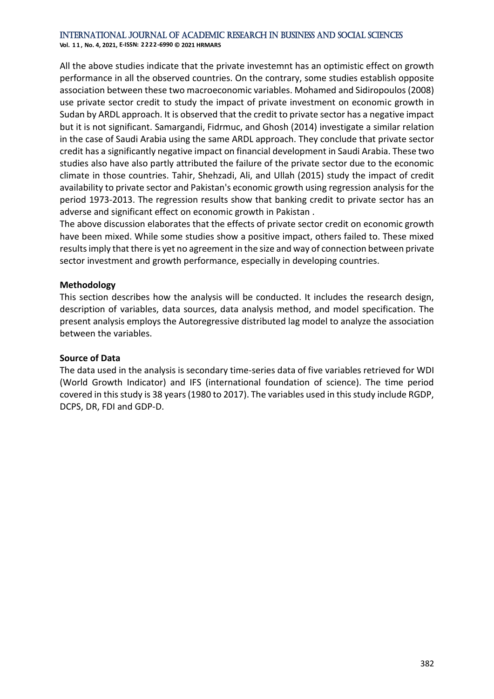**Vol. 1 1 , No. 4, 2021, E-ISSN: 2222-6990 © 2021 HRMARS**

All the above studies indicate that the private investemnt has an optimistic effect on growth performance in all the observed countries. On the contrary, some studies establish opposite association between these two macroeconomic variables. [Mohamed and Sidiropoulos \(2008\)](#page-12-14) use private sector credit to study the impact of private investment on economic growth in Sudan by ARDL approach. It is observed that the credit to private sector has a negative impact but it is not significant. [Samargandi, Fidrmuc, and Ghosh \(2014\)](#page-12-15) investigate a similar relation in the case of Saudi Arabia using the same ARDL approach. They conclude that private sector credit has a significantly negative impact on financial development in Saudi Arabia. These two studies also have also partly attributed the failure of the private sector due to the economic climate in those countries. [Tahir, Shehzadi, Ali, and Ullah \(2015\)](#page-13-2) study the impact of credit availability to private sector and Pakistan's economic growth using regression analysis for the period 1973-2013. The regression results show that banking credit to private sector has an adverse and significant effect on economic growth in Pakistan .

The above discussion elaborates that the effects of private sector credit on economic growth have been mixed. While some studies show a positive impact, others failed to. These mixed results imply that there is yet no agreement in the size and way of connection between private sector investment and growth performance, especially in developing countries.

#### **Methodology**

This section describes how the analysis will be conducted. It includes the research design, description of variables, data sources, data analysis method, and model specification. The present analysis employs the Autoregressive distributed lag model to analyze the association between the variables.

#### **Source of Data**

The data used in the analysis is secondary time-series data of five variables retrieved for WDI (World Growth Indicator) and IFS (international foundation of science). The time period covered in this study is 38 years (1980 to 2017). The variables used in this study include RGDP, DCPS, DR, FDI and GDP-D.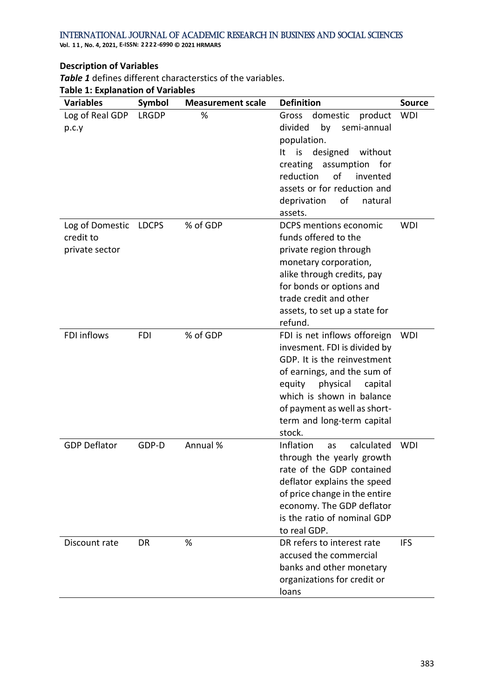**Vol. 1 1 , No. 4, 2021, E-ISSN: 2222-6990 © 2021 HRMARS**

#### **Description of Variables**

*[Table 1](#page-5-0)* defines different characterstics of the variables.

<span id="page-5-0"></span>

|  |  | <b>Table 1: Explanation of Variables</b> |  |  |  |
|--|--|------------------------------------------|--|--|--|
|--|--|------------------------------------------|--|--|--|

| <b>Variables</b>                               | Symbol       | <b>Measurement scale</b> | <b>Definition</b>                                                                                                                                                                                                                                                | <b>Source</b> |
|------------------------------------------------|--------------|--------------------------|------------------------------------------------------------------------------------------------------------------------------------------------------------------------------------------------------------------------------------------------------------------|---------------|
| Log of Real GDP<br>p.c.y                       | <b>LRGDP</b> | %                        | Gross<br>domestic<br>product<br>divided<br>by<br>semi-annual<br>population.<br>is designed<br>without<br>It<br>creating<br>for<br>assumption<br>reduction<br>of<br>invented<br>assets or for reduction and<br>deprivation<br>of<br>natural<br>assets.            | <b>WDI</b>    |
| Log of Domestic<br>credit to<br>private sector | <b>LDCPS</b> | % of GDP                 | <b>DCPS</b> mentions economic<br>funds offered to the<br>private region through<br>monetary corporation,<br>alike through credits, pay<br>for bonds or options and<br>trade credit and other<br>assets, to set up a state for<br>refund.                         | <b>WDI</b>    |
| <b>FDI</b> inflows                             | <b>FDI</b>   | % of GDP                 | FDI is net inflows offoreign<br>invesment. FDI is divided by<br>GDP. It is the reinvestment<br>of earnings, and the sum of<br>equity<br>physical<br>capital<br>which is shown in balance<br>of payment as well as short-<br>term and long-term capital<br>stock. | <b>WDI</b>    |
| <b>GDP Deflator</b>                            | GDP-D        | Annual %                 | Inflation<br>calculated<br>as<br>through the yearly growth<br>rate of the GDP contained<br>deflator explains the speed<br>of price change in the entire<br>economy. The GDP deflator<br>is the ratio of nominal GDP<br>to real GDP.                              | <b>WDI</b>    |
| Discount rate                                  | DR           | %                        | DR refers to interest rate<br>accused the commercial<br>banks and other monetary<br>organizations for credit or<br>loans                                                                                                                                         | <b>IFS</b>    |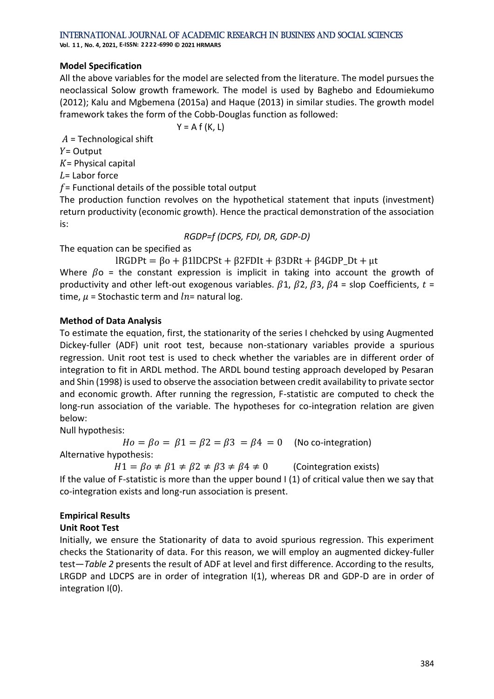**Vol. 1 1 , No. 4, 2021, E-ISSN: 2222-6990 © 2021 HRMARS**

#### **Model Specification**

All the above variables for the model are selected from the literature. The model pursues the neoclassical Solow growth framework. The model is used by [Baghebo and Edoumiekumo](#page-11-7)  [\(2012\);](#page-11-7) [Kalu and Mgbemena \(2015a\)](#page-12-16) and [Haque \(2013\)](#page-12-17) in similar studies. The growth model framework takes the form of the Cobb-Douglas function as followed:

 $Y = A f(K, L)$ 

 $A =$  Technological shift

 $Y =$  Output

 $K =$  Physical capital

 $L =$  Labor force

 $f$  = Functional details of the possible total output

The production function revolves on the hypothetical statement that inputs (investment) return productivity (economic growth). Hence the practical demonstration of the association is:

*RGDP=f (DCPS, FDI, DR, GDP-D)*

The equation can be specified as

 $lRGDPt = \beta o + \beta 1lDCPSt + \beta 2FDIt + \beta 3DRt + \beta 4GDPDt + \mu t$ 

Where  $\beta$ o = the constant expression is implicit in taking into account the growth of productivity and other left-out exogenous variables.  $\beta$ 1,  $\beta$ 2,  $\beta$ 3,  $\beta$ 4 = slop Coefficients,  $t$  = time,  $\mu$  = Stochastic term and  $ln$  = natural log.

#### **Method of Data Analysis**

To estimate the equation, first, the stationarity of the series I chehcked by using Augmented Dickey-fuller (ADF) unit root test, because non-stationary variables provide a spurious regression. Unit root test is used to check whether the variables are in different order of integration to fit in ARDL method. The ARDL bound testing approach developed by Pesaran and Shin (1998) is used to observe the association between credit availability to private sector and economic growth. After running the regression, F-statistic are computed to check the long-run association of the variable. The hypotheses for co-integration relation are given below:

Null hypothesis:

 $Ho = Bo = \beta 1 = \beta 2 = \beta 3 = \beta 4 = 0$  (No co-integration)

Alternative hypothesis:

 $H1 = \beta o \neq \beta 1 \neq \beta 2 \neq \beta 3 \neq \beta 4 \neq 0$  (Cointegration exists)

If the value of F-statistic is more than the upper bound I (1) of critical value then we say that co-integration exists and long-run association is present.

#### **Empirical Results**

#### **Unit Root Test**

Initially, we ensure the Stationarity of data to avoid spurious regression. This experiment checks the Stationarity of data. For this reason, we will employ an augmented dickey-fuller test—*[Table 2](#page-7-0)* presents the result of ADF at level and first difference. According to the results, LRGDP and LDCPS are in order of integration I(1), whereas DR and GDP-D are in order of integration I(0).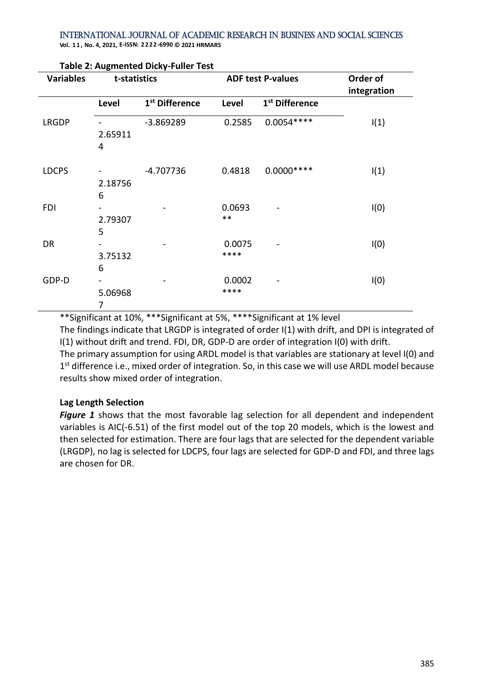**Vol. 1 1 , No. 4, 2021, E-ISSN: 2222-6990 © 2021 HRMARS**

| <b>Variables</b> | t-statistics      |                            | <b>ADF test P-values</b> |                            | Order of<br>integration |
|------------------|-------------------|----------------------------|--------------------------|----------------------------|-------------------------|
|                  | Level             | 1 <sup>st</sup> Difference | <b>Level</b>             | 1 <sup>st</sup> Difference |                         |
| <b>LRGDP</b>     | 2.65911<br>4      | $-3.869289$                | 0.2585                   | $0.0054***$                | I(1)                    |
| <b>LDCPS</b>     | 2.18756<br>6      | $-4.707736$                | 0.4818                   | $0.0000***$                | I(1)                    |
| <b>FDI</b>       | 2.79307<br>5      |                            | 0.0693<br>$***$          |                            | I(0)                    |
| DR               | -<br>3.75132<br>6 |                            | 0.0075<br>****           |                            | I(0)                    |
| GDP-D            | 5.06968<br>7      |                            | 0.0002<br>****           |                            | I(0)                    |

#### <span id="page-7-0"></span>**Table 2: Augmented Dicky-Fuller Test**

\*\*Significant at 10%, \*\*\*Significant at 5%, \*\*\*\*Significant at 1% level The findings indicate that LRGDP is integrated of order I(1) with drift, and DPI is integrated of I(1) without drift and trend. FDI, DR, GDP-D are order of integration I(0) with drift. The primary assumption for using ARDL model is that variables are stationary at level I(0) and 1<sup>st</sup> difference i.e., mixed order of integration. So, in this case we will use ARDL model because results show mixed order of integration.

#### **Lag Length Selection**

[Figure 1](#page-8-0) shows that the most favorable lag selection for all dependent and independent variables is AIC(-6.51) of the first model out of the top 20 models, which is the lowest and then selected for estimation. There are four lags that are selected for the dependent variable (LRGDP), no lag is selected for LDCPS, four lags are selected for GDP-D and FDI, and three lags are chosen for DR.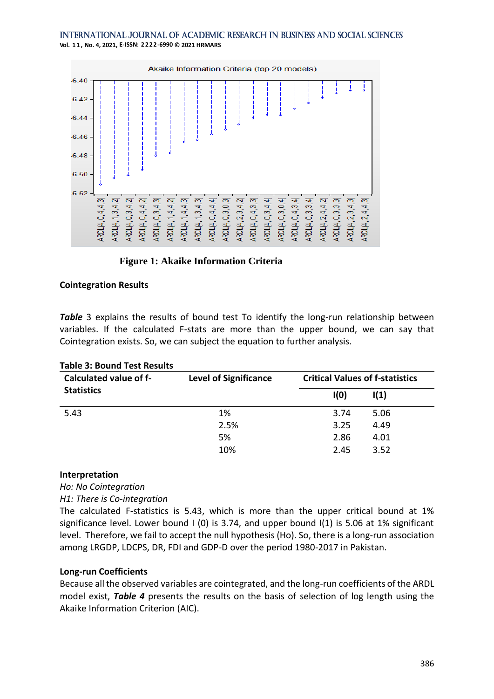#### International Journal of Academic Research in Business and Social Sciences **Vol. 1 1 , No. 4, 2021, E-ISSN: 2222-6990 © 2021 HRMARS**



#### <span id="page-8-0"></span>**Figure 1: Akaike Information Criteria**

#### **[Cointegration Results](#page-8-1)**

**[Table](#page-8-1)** 3 explains the results of bound test To identify the long-run relationship between variables. If the calculated F-stats are more than the upper bound, we can say that Cointegration exists. So, we can subject the equation to further analysis.

| Calculated value of f- | <b>Level of Significance</b> | <b>Critical Values of f-statistics</b> |                 |  |
|------------------------|------------------------------|----------------------------------------|-----------------|--|
| <b>Statistics</b>      |                              | I(0)                                   | $\mathsf{I}(1)$ |  |
| 5.43                   | 1%                           | 3.74                                   | 5.06            |  |
|                        | 2.5%                         | 3.25                                   | 4.49            |  |
|                        | 5%                           | 2.86                                   | 4.01            |  |
|                        | 10%                          | 2.45                                   | 3.52            |  |

#### <span id="page-8-1"></span>**Table 3: Bound Test Results**

#### **Interpretation**

*Ho: No Cointegration* 

*H1: There is Co-integration*

The calculated F-statistics is 5.43, which is more than the upper critical bound at 1% significance level. Lower bound I (0) is 3.74, and upper bound I(1) is 5.06 at 1% significant level. Therefore, we fail to accept the null hypothesis (Ho). So, there is a long-run association among LRGDP, LDCPS, DR, FDI and GDP-D over the period 1980-2017 in Pakistan.

#### **Long-run Coefficients**

Because all the observed variables are cointegrated, and the long-run coefficients of the ARDL model exist, *[Table 4](#page-9-0)* presents the results on the basis of selection of log length using the Akaike Information Criterion (AIC).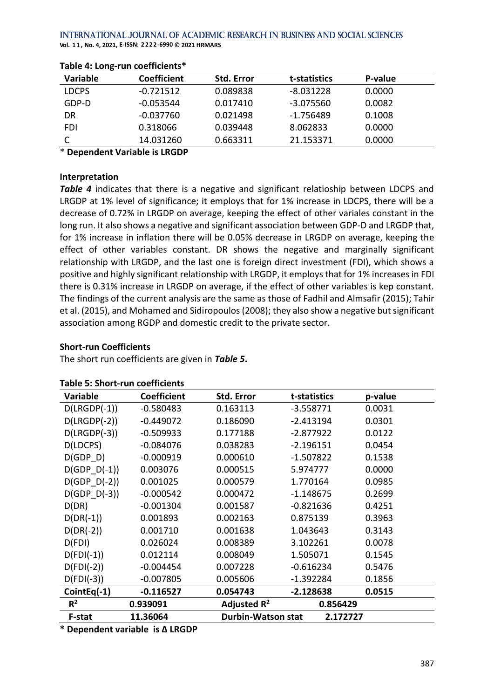**Vol. 1 1 , No. 4, 2021, E-ISSN: 2222-6990 © 2021 HRMARS**

| <b>Variable</b> | <b>Coefficient</b> | <b>Std. Error</b> | t-statistics | P-value |
|-----------------|--------------------|-------------------|--------------|---------|
| <b>LDCPS</b>    | $-0.721512$        | 0.089838          | $-8.031228$  | 0.0000  |
| GDP-D           | $-0.053544$        | 0.017410          | $-3.075560$  | 0.0082  |
| DR              | $-0.037760$        | 0.021498          | $-1.756489$  | 0.1008  |
| FDI             | 0.318066           | 0.039448          | 8.062833     | 0.0000  |
|                 | 14.031260          | 0.663311          | 21.153371    | 0.0000  |

#### <span id="page-9-0"></span>**Table 4: Long-run coefficients\***

\* **Dependent Variable is LRGDP**

#### **Interpretation**

**[Table 4](#page-9-0)** indicates that there is a negative and significant relatioship between LDCPS and LRGDP at 1% level of significance; it employs that for 1% increase in LDCPS, there will be a decrease of 0.72% in LRGDP on average, keeping the effect of other variales constant in the long run. It also shows a negative and significant association between GDP-D and LRGDP that, for 1% increase in inflation there will be 0.05% decrease in LRGDP on average, keeping the effect of other variables constant. DR shows the negative and marginally significant relationship with LRGDP, and the last one is foreign direct investment (FDI), which shows a positive and highly significant relationship with LRGDP, it employs that for 1% increases in FDI there is 0.31% increase in LRGDP on average, if the effect of other variables is kep constant. The findings of the current analysis are the same as those of [Fadhil and Almsafir \(2015\);](#page-12-8) [Tahir](#page-13-2)  [et al. \(2015\),](#page-13-2) an[d Mohamed and Sidiropoulos \(2008\);](#page-12-14) they also show a negative but significant association among RGDP and domestic credit to the private sector.

#### **Short-run Coefficients**

The short run coefficients are given in *[Table 5](#page-9-1)***.**

<span id="page-9-1"></span>

| Table 5: Short-run coefficients |                  |  |  |
|---------------------------------|------------------|--|--|
| $11 - 11 - 11$                  | 0-- <b>M</b> art |  |  |

| <b>Variable</b>                                             | <b>Coefficient</b> | Std. Error              | t-statistics | p-value |
|-------------------------------------------------------------|--------------------|-------------------------|--------------|---------|
| $D(LRGDP(-1))$                                              | $-0.580483$        | 0.163113                | $-3.558771$  | 0.0031  |
| $D(LRGDP(-2))$                                              | $-0.449072$        | 0.186090                | $-2.413194$  | 0.0301  |
| $D(LRGDP(-3))$                                              | $-0.509933$        | 0.177188                | -2.877922    | 0.0122  |
| D(LDCPS)                                                    | $-0.084076$        | 0.038283                | $-2.196151$  | 0.0454  |
| D(GDP D)                                                    | $-0.000919$        | 0.000610                | -1.507822    | 0.1538  |
| $D(GDP D(-1))$                                              | 0.003076           | 0.000515                | 5.974777     | 0.0000  |
| $D(GDP D(-2))$                                              | 0.001025           | 0.000579                | 1.770164     | 0.0985  |
| $D(GDP D(-3))$                                              | $-0.000542$        | 0.000472                | -1.148675    | 0.2699  |
| D(DR)                                                       | $-0.001304$        | 0.001587                | $-0.821636$  | 0.4251  |
| $D(DR(-1))$                                                 | 0.001893           | 0.002163                | 0.875139     | 0.3963  |
| $D(DR(-2))$                                                 | 0.001710           | 0.001638                | 1.043643     | 0.3143  |
| D(FDI)                                                      | 0.026024           | 0.008389                | 3.102261     | 0.0078  |
| $D(FDI(-1))$                                                | 0.012114           | 0.008049                | 1.505071     | 0.1545  |
| $D(FDI(-2))$                                                | $-0.004454$        | 0.007228                | $-0.616234$  | 0.5476  |
| $D(FDI(-3))$                                                | $-0.007805$        | 0.005606                | -1.392284    | 0.1856  |
| $CointEq(-1)$                                               | $-0.116527$        | 0.054743                | $-2.128638$  | 0.0515  |
| R <sup>2</sup><br>0.939091                                  |                    | Adjusted R <sup>2</sup> | 0.856429     |         |
| <b>Durbin-Watson stat</b><br>2.172727<br>11.36064<br>F-stat |                    |                         |              |         |

**\* Dependent variable is ∆ LRGDP**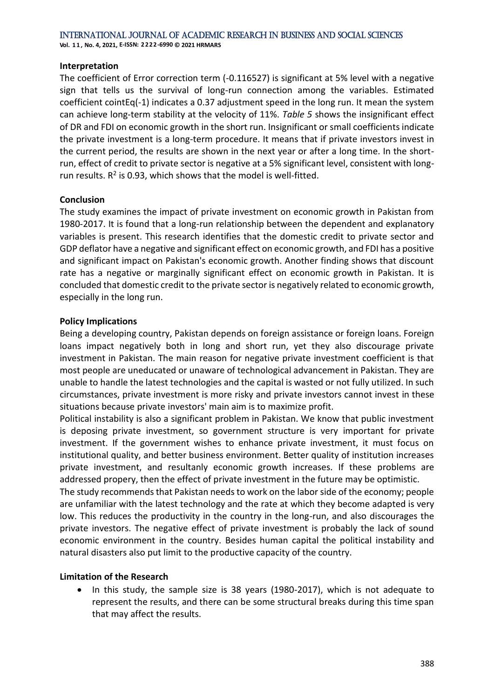**Vol. 1 1 , No. 4, 2021, E-ISSN: 2222-6990 © 2021 HRMARS**

#### **Interpretation**

The coefficient of Error correction term (-0.116527) is significant at 5% level with a negative sign that tells us the survival of long-run connection among the variables. Estimated coefficient cointEq(-1) indicates a 0.37 adjustment speed in the long run. It mean the system can achieve long-term stability at the velocity of 11%. *[Table 5](#page-9-1)* shows the insignificant effect of DR and FDI on economic growth in the short run. Insignificant or small coefficients indicate the private investment is a long-term procedure. It means that if private investors invest in the current period, the results are shown in the next year or after a long time. In the shortrun, effect of credit to private sector is negative at a 5% significant level, consistent with longrun results.  $R^2$  is 0.93, which shows that the model is well-fitted.

#### **Conclusion**

The study examines the impact of private investment on economic growth in Pakistan from 1980-2017. It is found that a long-run relationship between the dependent and explanatory variables is present. This research identifies that the domestic credit to private sector and GDP deflator have a negative and significant effect on economic growth, and FDI has a positive and significant impact on Pakistan's economic growth. Another finding shows that discount rate has a negative or marginally significant effect on economic growth in Pakistan. It is concluded that domestic credit to the private sector is negatively related to economic growth, especially in the long run.

#### **Policy Implications**

Being a developing country, Pakistan depends on foreign assistance or foreign loans. Foreign loans impact negatively both in long and short run, yet they also discourage private investment in Pakistan. The main reason for negative private investment coefficient is that most people are uneducated or unaware of technological advancement in Pakistan. They are unable to handle the latest technologies and the capital is wasted or not fully utilized. In such circumstances, private investment is more risky and private investors cannot invest in these situations because private investors' main aim is to maximize profit.

Political instability is also a significant problem in Pakistan. We know that public investment is deposing private investment, so government structure is very important for private investment. If the government wishes to enhance private investment, it must focus on institutional quality, and better business environment. Better quality of institution increases private investment, and resultanly economic growth increases. If these problems are addressed propery, then the effect of private investment in the future may be optimistic.

The study recommends that Pakistan needs to work on the labor side of the economy; people are unfamiliar with the latest technology and the rate at which they become adapted is very low. This reduces the productivity in the country in the long-run, and also discourages the private investors. The negative effect of private investment is probably the lack of sound economic environment in the country. Besides human capital the political instability and natural disasters also put limit to the productive capacity of the country.

#### **Limitation of the Research**

• In this study, the sample size is 38 years (1980-2017), which is not adequate to represent the results, and there can be some structural breaks during this time span that may affect the results.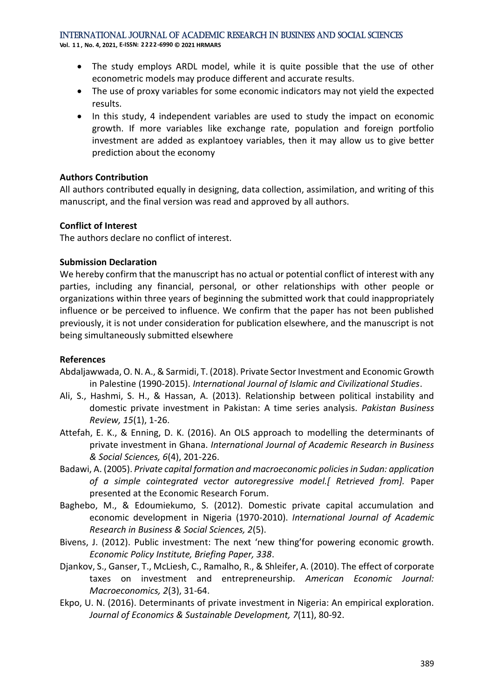**Vol. 1 1 , No. 4, 2021, E-ISSN: 2222-6990 © 2021 HRMARS**

- The study employs ARDL model, while it is quite possible that the use of other econometric models may produce different and accurate results.
- The use of proxy variables for some economic indicators may not yield the expected results.
- In this study, 4 independent variables are used to study the impact on economic growth. If more variables like exchange rate, population and foreign portfolio investment are added as explantoey variables, then it may allow us to give better prediction about the economy

#### **Authors Contribution**

All authors contributed equally in designing, data collection, assimilation, and writing of this manuscript, and the final version was read and approved by all authors.

#### **Conflict of Interest**

The authors declare no conflict of interest.

#### **Submission Declaration**

We hereby confirm that the manuscript has no actual or potential conflict of interest with any parties, including any financial, personal, or other relationships with other people or organizations within three years of beginning the submitted work that could inappropriately influence or be perceived to influence. We confirm that the paper has not been published previously, it is not under consideration for publication elsewhere, and the manuscript is not being simultaneously submitted elsewhere

#### **References**

- <span id="page-11-6"></span>Abdaljawwada, O. N. A., & Sarmidi, T. (2018). Private Sector Investment and Economic Growth in Palestine (1990-2015). *International Journal of Islamic and Civilizational Studies*.
- <span id="page-11-1"></span>Ali, S., Hashmi, S. H., & Hassan, A. (2013). Relationship between political instability and domestic private investment in Pakistan: A time series analysis. *Pakistan Business Review, 15*(1), 1-26.
- <span id="page-11-5"></span>Attefah, E. K., & Enning, D. K. (2016). An OLS approach to modelling the determinants of private investment in Ghana. *International Journal of Academic Research in Business & Social Sciences, 6*(4), 201-226.
- <span id="page-11-4"></span>Badawi, A. (2005). *Private capital formation and macroeconomic policies in Sudan: application of a simple cointegrated vector autoregressive model.[ Retrieved from].* Paper presented at the Economic Research Forum.
- <span id="page-11-7"></span>Baghebo, M., & Edoumiekumo, S. (2012). Domestic private capital accumulation and economic development in Nigeria (1970-2010). *International Journal of Academic Research in Business & Social Sciences, 2*(5).
- <span id="page-11-0"></span>Bivens, J. (2012). Public investment: The next 'new thing'for powering economic growth. *Economic Policy Institute, Briefing Paper, 338*.
- <span id="page-11-2"></span>Djankov, S., Ganser, T., McLiesh, C., Ramalho, R., & Shleifer, A. (2010). The effect of corporate taxes on investment and entrepreneurship. *American Economic Journal: Macroeconomics, 2*(3), 31-64.
- <span id="page-11-3"></span>Ekpo, U. N. (2016). Determinants of private investment in Nigeria: An empirical exploration. *Journal of Economics & Sustainable Development, 7*(11), 80-92.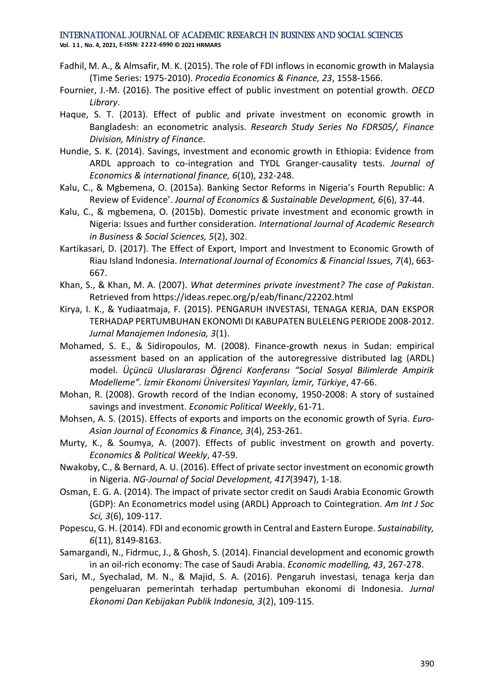**Vol. 1 1 , No. 4, 2021, E-ISSN: 2222-6990 © 2021 HRMARS**

- <span id="page-12-8"></span>Fadhil, M. A., & Almsafir, M. K. (2015). The role of FDI inflows in economic growth in Malaysia (Time Series: 1975-2010). *Procedia Economics & Finance, 23*, 1558-1566.
- <span id="page-12-4"></span>Fournier, J.-M. (2016). The positive effect of public investment on potential growth. *OECD Library*.
- <span id="page-12-17"></span>Haque, S. T. (2013). Effect of public and private investment on economic growth in Bangladesh: an econometric analysis. *Research Study Series No FDRS05/, Finance Division, Ministry of Finance*.
- <span id="page-12-6"></span>Hundie, S. K. (2014). Savings, investment and economic growth in Ethiopia: Evidence from ARDL approach to co-integration and TYDL Granger-causality tests. *Journal of Economics & international finance, 6*(10), 232-248.
- <span id="page-12-16"></span>Kalu, C., & Mgbemena, O. (2015a). Banking Sector Reforms in Nigeria's Fourth Republic: A Review of Evidence'. *Journal of Economics & Sustainable Development, 6*(6), 37-44.
- <span id="page-12-12"></span>Kalu, C., & mgbemena, O. (2015b). Domestic private investment and economic growth in Nigeria: Issues and further consideration. *International Journal of Academic Research in Business & Social Sciences, 5*(2), 302.
- <span id="page-12-0"></span>Kartikasari, D. (2017). The Effect of Export, Import and Investment to Economic Growth of Riau Island Indonesia. *International Journal of Economics & Financial Issues, 7*(4), 663- 667.
- <span id="page-12-10"></span>Khan, S., & Khan, M. A. (2007). *What determines private investment? The case of Pakistan*. Retrieved from https://ideas.repec.org/p/eab/financ/22202.html
- <span id="page-12-1"></span>Kirya, I. K., & Yudiaatmaja, F. (2015). PENGARUH INVESTASI, TENAGA KERJA, DAN EKSPOR TERHADAP PERTUMBUHAN EKONOMI DI KABUPATEN BULELENG PERIODE 2008-2012. *Jurnal Manajemen Indonesia, 3*(1).
- <span id="page-12-14"></span>Mohamed, S. E., & Sidiropoulos, M. (2008). Finance-growth nexus in Sudan: empirical assessment based on an application of the autoregressive distributed lag (ARDL) model. *Üçüncü Uluslararası Öğrenci Konferansı "Social Sosyal Bilimlerde Ampirik Modelleme". İzmir Ekonomi Üniversitesi Yayınları, İzmir, Türkiye*, 47-66.
- <span id="page-12-7"></span>Mohan, R. (2008). Growth record of the Indian economy, 1950-2008: A story of sustained savings and investment. *Economic Political Weekly*, 61-71.
- <span id="page-12-2"></span>Mohsen, A. S. (2015). Effects of exports and imports on the economic growth of Syria. *Euro-Asian Journal of Economics & Finance, 3*(4), 253-261.
- <span id="page-12-5"></span>Murty, K., & Soumya, A. (2007). Effects of public investment on growth and poverty. *Economics & Political Weekly*, 47-59.
- <span id="page-12-13"></span>Nwakoby, C., & Bernard, A. U. (2016). Effect of private sector investment on economic growth in Nigeria. *NG-Journal of Social Development, 417*(3947), 1-18.
- <span id="page-12-11"></span>Osman, E. G. A. (2014). The impact of private sector credit on Saudi Arabia Economic Growth (GDP): An Econometrics model using (ARDL) Approach to Cointegration. *Am Int J Soc Sci, 3*(6), 109-117.
- <span id="page-12-9"></span>Popescu, G. H. (2014). FDI and economic growth in Central and Eastern Europe. *Sustainability, 6*(11), 8149-8163.
- <span id="page-12-15"></span>Samargandi, N., Fidrmuc, J., & Ghosh, S. (2014). Financial development and economic growth in an oil-rich economy: The case of Saudi Arabia. *Economic modelling, 43*, 267-278.
- <span id="page-12-3"></span>Sari, M., Syechalad, M. N., & Majid, S. A. (2016). Pengaruh investasi, tenaga kerja dan pengeluaran pemerintah terhadap pertumbuhan ekonomi di Indonesia. *Jurnal Ekonomi Dan Kebijakan Publik Indonesia, 3*(2), 109-115.